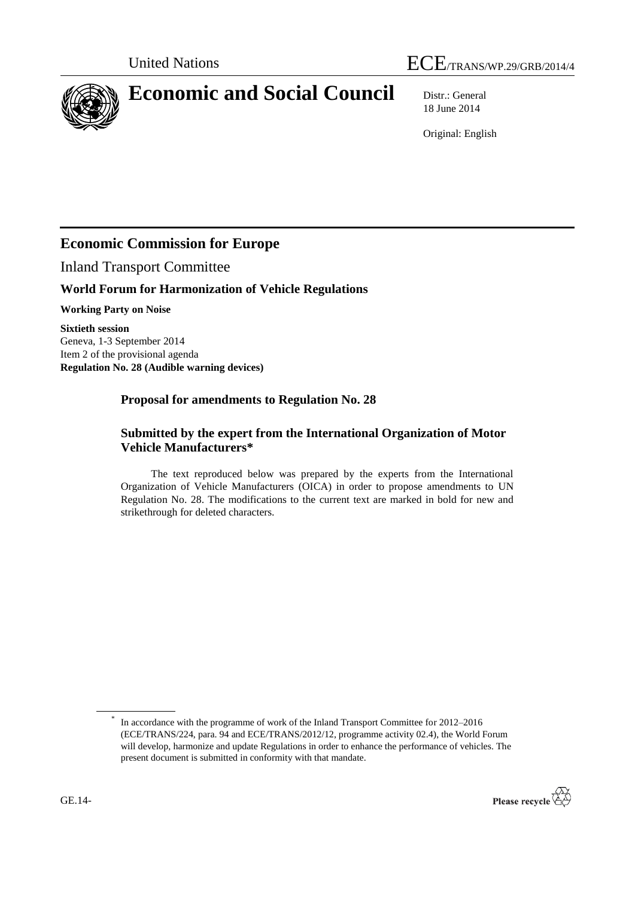



# **Economic and Social Council** Distr.: General

18 June 2014

Original: English

# **Economic Commission for Europe**

Inland Transport Committee

# **World Forum for Harmonization of Vehicle Regulations**

**Working Party on Noise**

**Sixtieth session** Geneva, 1-3 September 2014 Item 2 of the provisional agenda **Regulation No. 28 (Audible warning devices)** 

### **Proposal for amendments to Regulation No. 28**

### **Submitted by the expert from the International Organization of Motor Vehicle Manufacturers\***

The text reproduced below was prepared by the experts from the International Organization of Vehicle Manufacturers (OICA) in order to propose amendments to UN Regulation No. 28. The modifications to the current text are marked in bold for new and strikethrough for deleted characters.

<sup>\*</sup> In accordance with the programme of work of the Inland Transport Committee for 2012–2016 (ECE/TRANS/224, para. 94 and ECE/TRANS/2012/12, programme activity 02.4), the World Forum will develop, harmonize and update Regulations in order to enhance the performance of vehicles. The present document is submitted in conformity with that mandate.

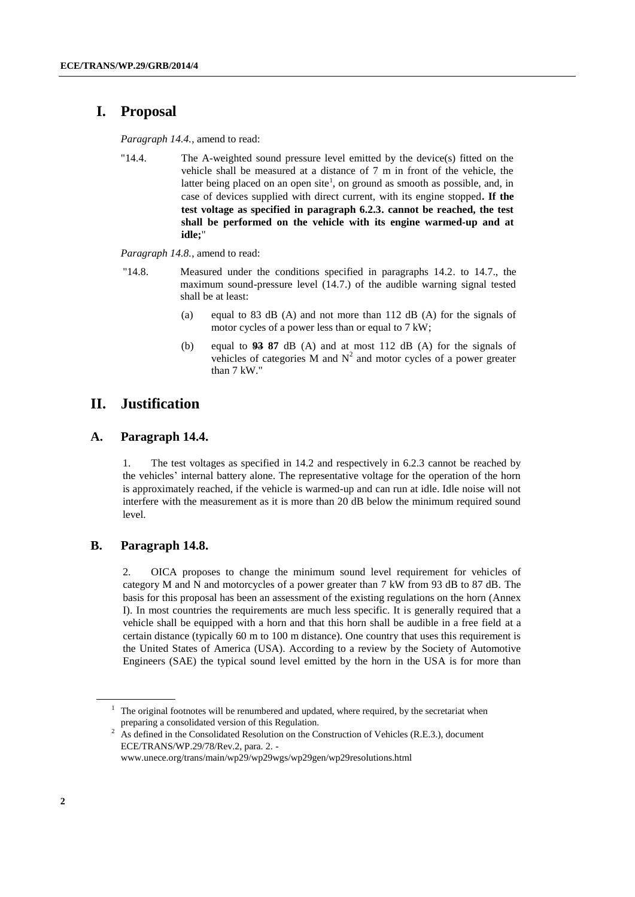# **I. Proposal**

*Paragraph 14.4.,* amend to read:

"14.4. The A-weighted sound pressure level emitted by the device(s) fitted on the vehicle shall be measured at a distance of 7 m in front of the vehicle, the latter being placed on an open site<sup>1</sup>, on ground as smooth as possible, and, in case of devices supplied with direct current, with its engine stopped**. If the test voltage as specified in paragraph 6.2.3. cannot be reached, the test shall be performed on the vehicle with its engine warmed-up and at idle;**"

*Paragraph 14.8.,* amend to read:

- "14.8. Measured under the conditions specified in paragraphs 14.2. to 14.7., the maximum sound-pressure level (14.7.) of the audible warning signal tested shall be at least:
	- (a) equal to 83 dB (A) and not more than 112 dB (A) for the signals of motor cycles of a power less than or equal to 7 kW;
	- (b) equal to **93 87** dB (A) and at most 112 dB (A) for the signals of vehicles of categories M and  $N^2$  and motor cycles of a power greater than 7 kW."

### **II. Justification**

#### **A. Paragraph 14.4.**

1. The test voltages as specified in 14.2 and respectively in 6.2.3 cannot be reached by the vehicles' internal battery alone. The representative voltage for the operation of the horn is approximately reached, if the vehicle is warmed-up and can run at idle. Idle noise will not interfere with the measurement as it is more than 20 dB below the minimum required sound level.

#### **B. Paragraph 14.8.**

2. OICA proposes to change the minimum sound level requirement for vehicles of category M and N and motorcycles of a power greater than 7 kW from 93 dB to 87 dB. The basis for this proposal has been an assessment of the existing regulations on the horn (Annex I). In most countries the requirements are much less specific. It is generally required that a vehicle shall be equipped with a horn and that this horn shall be audible in a free field at a certain distance (typically 60 m to 100 m distance). One country that uses this requirement is the United States of America (USA). According to a review by the Society of Automotive Engineers (SAE) the typical sound level emitted by the horn in the USA is for more than

 $1$  The original footnotes will be renumbered and updated, where required, by the secretariat when preparing a consolidated version of this Regulation.

<sup>&</sup>lt;sup>2</sup> As defined in the Consolidated Resolution on the Construction of Vehicles (R.E.3.), document ECE/TRANS/WP.29/78/Rev.2, para. 2. -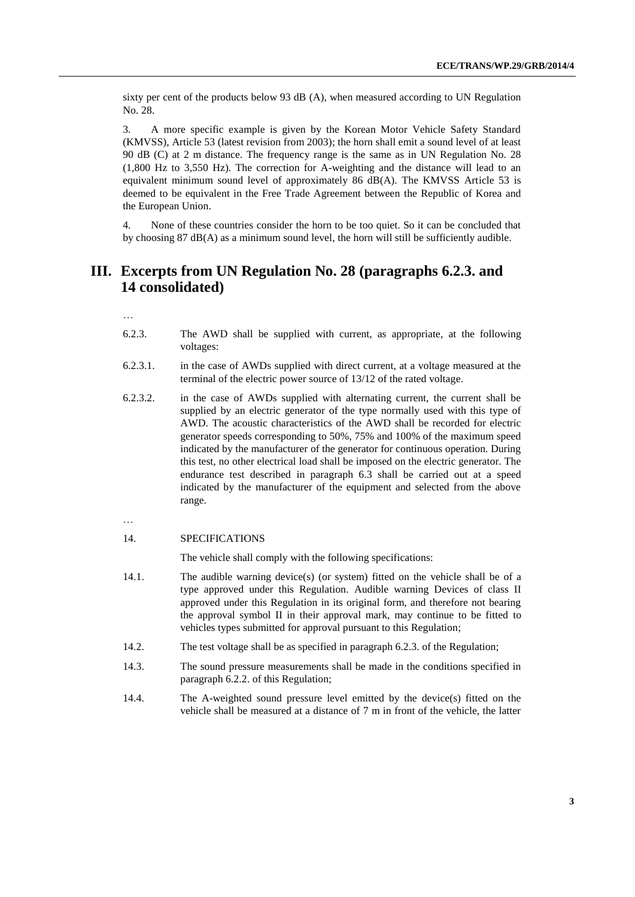sixty per cent of the products below 93 dB (A), when measured according to UN Regulation No. 28.

3. A more specific example is given by the Korean Motor Vehicle Safety Standard (KMVSS), Article 53 (latest revision from 2003); the horn shall emit a sound level of at least 90 dB (C) at 2 m distance. The frequency range is the same as in UN Regulation No. 28 (1,800 Hz to 3,550 Hz). The correction for A-weighting and the distance will lead to an equivalent minimum sound level of approximately 86 dB(A). The KMVSS Article 53 is deemed to be equivalent in the Free Trade Agreement between the Republic of Korea and the European Union.

4. None of these countries consider the horn to be too quiet. So it can be concluded that by choosing 87 dB(A) as a minimum sound level, the horn will still be sufficiently audible.

### **III. Excerpts from UN Regulation No. 28 (paragraphs 6.2.3. and 14 consolidated)**

…

- 6.2.3. The AWD shall be supplied with current, as appropriate, at the following voltages:
- 6.2.3.1. in the case of AWDs supplied with direct current, at a voltage measured at the terminal of the electric power source of 13/12 of the rated voltage.
- 6.2.3.2. in the case of AWDs supplied with alternating current, the current shall be supplied by an electric generator of the type normally used with this type of AWD. The acoustic characteristics of the AWD shall be recorded for electric generator speeds corresponding to 50%, 75% and 100% of the maximum speed indicated by the manufacturer of the generator for continuous operation. During this test, no other electrical load shall be imposed on the electric generator. The endurance test described in paragraph 6.3 shall be carried out at a speed indicated by the manufacturer of the equipment and selected from the above range.

…

#### 14. SPECIFICATIONS

The vehicle shall comply with the following specifications:

- 14.1. The audible warning device(s) (or system) fitted on the vehicle shall be of a type approved under this Regulation. Audible warning Devices of class II approved under this Regulation in its original form, and therefore not bearing the approval symbol II in their approval mark, may continue to be fitted to vehicles types submitted for approval pursuant to this Regulation;
- 14.2. The test voltage shall be as specified in paragraph 6.2.3. of the Regulation;
- 14.3. The sound pressure measurements shall be made in the conditions specified in paragraph 6.2.2. of this Regulation;
- 14.4. The A-weighted sound pressure level emitted by the device(s) fitted on the vehicle shall be measured at a distance of 7 m in front of the vehicle, the latter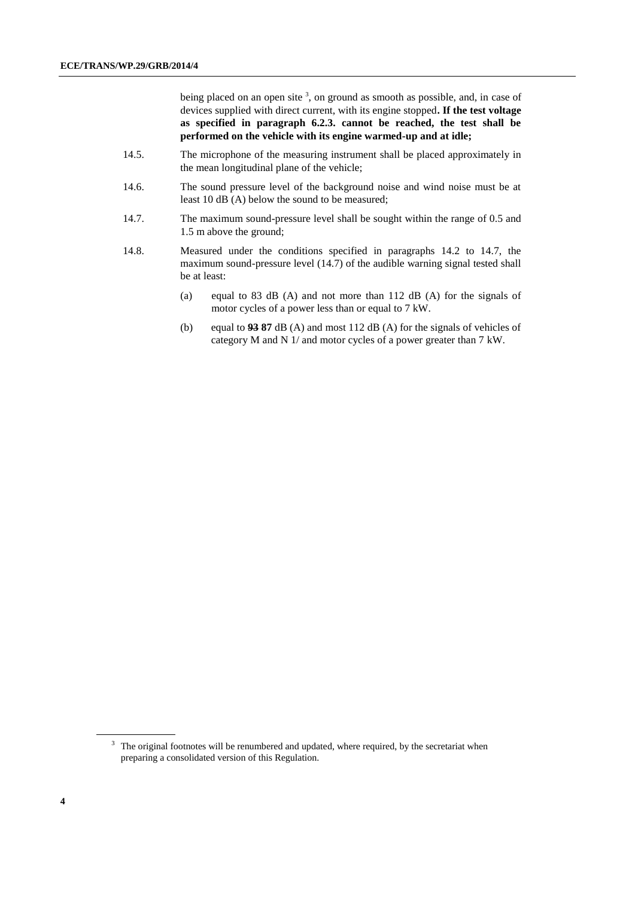being placed on an open site  $3$ , on ground as smooth as possible, and, in case of devices supplied with direct current, with its engine stopped**. If the test voltage as specified in paragraph 6.2.3. cannot be reached, the test shall be performed on the vehicle with its engine warmed-up and at idle;**

- 14.5. The microphone of the measuring instrument shall be placed approximately in the mean longitudinal plane of the vehicle;
- 14.6. The sound pressure level of the background noise and wind noise must be at least 10 dB (A) below the sound to be measured;
- 14.7. The maximum sound-pressure level shall be sought within the range of 0.5 and 1.5 m above the ground;
- 14.8. Measured under the conditions specified in paragraphs 14.2 to 14.7, the maximum sound-pressure level (14.7) of the audible warning signal tested shall be at least:
	- (a) equal to 83 dB (A) and not more than 112 dB (A) for the signals of motor cycles of a power less than or equal to 7 kW.
	- (b) equal to **93 87** dB (A) and most 112 dB (A) for the signals of vehicles of category M and N 1/ and motor cycles of a power greater than 7 kW.

<sup>&</sup>lt;sup>3</sup> The original footnotes will be renumbered and updated, where required, by the secretariat when preparing a consolidated version of this Regulation.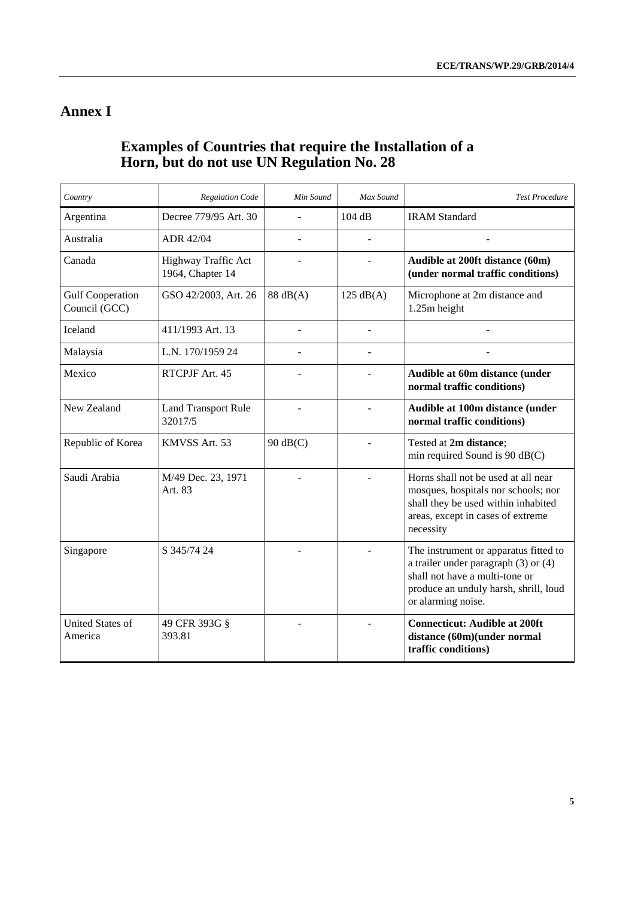# **Annex I**

# **Examples of Countries that require the Installation of a Horn, but do not use UN Regulation No. 28**

| Country                                  | <b>Regulation Code</b>                  | Min Sound  | Max Sound           | <b>Test Procedure</b>                                                                                                                                                              |
|------------------------------------------|-----------------------------------------|------------|---------------------|------------------------------------------------------------------------------------------------------------------------------------------------------------------------------------|
| Argentina                                | Decree 779/95 Art. 30                   | ÷,         | 104 dB              | <b>IRAM Standard</b>                                                                                                                                                               |
| Australia                                | ADR 42/04                               | ÷.         | $\overline{a}$      |                                                                                                                                                                                    |
| Canada                                   | Highway Traffic Act<br>1964, Chapter 14 |            |                     | Audible at 200ft distance (60m)<br>(under normal traffic conditions)                                                                                                               |
| <b>Gulf Cooperation</b><br>Council (GCC) | GSO 42/2003, Art. 26                    | 88 dB(A)   | $125 \text{ dB}(A)$ | Microphone at 2m distance and<br>1.25m height                                                                                                                                      |
| Iceland                                  | 411/1993 Art. 13                        |            |                     |                                                                                                                                                                                    |
| Malaysia                                 | L.N. 170/1959 24                        |            | $\overline{a}$      |                                                                                                                                                                                    |
| Mexico                                   | RTCPJF Art. 45                          |            |                     | Audible at 60m distance (under<br>normal traffic conditions)                                                                                                                       |
| New Zealand                              | <b>Land Transport Rule</b><br>32017/5   |            |                     | Audible at 100m distance (under<br>normal traffic conditions)                                                                                                                      |
| Republic of Korea                        | KMVSS Art. 53                           | $90$ dB(C) |                     | Tested at 2m distance;<br>min required Sound is 90 dB(C)                                                                                                                           |
| Saudi Arabia                             | M/49 Dec. 23, 1971<br>Art. 83           |            |                     | Horns shall not be used at all near<br>mosques, hospitals nor schools; nor<br>shall they be used within inhabited<br>areas, except in cases of extreme<br>necessity                |
| Singapore                                | S 345/74 24                             |            |                     | The instrument or apparatus fitted to<br>a trailer under paragraph $(3)$ or $(4)$<br>shall not have a multi-tone or<br>produce an unduly harsh, shrill, loud<br>or alarming noise. |
| <b>United States of</b><br>America       | 49 CFR 393G §<br>393.81                 |            |                     | <b>Connecticut: Audible at 200ft</b><br>distance (60m)(under normal<br>traffic conditions)                                                                                         |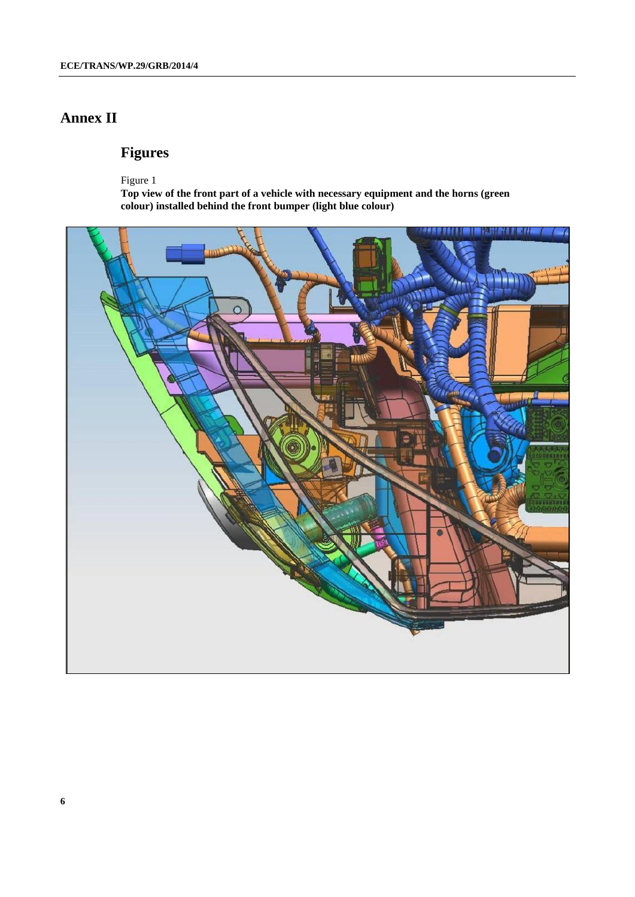# **Annex II**

# **Figures**

Figure 1

**Top view of the front part of a vehicle with necessary equipment and the horns (green colour) installed behind the front bumper (light blue colour)**